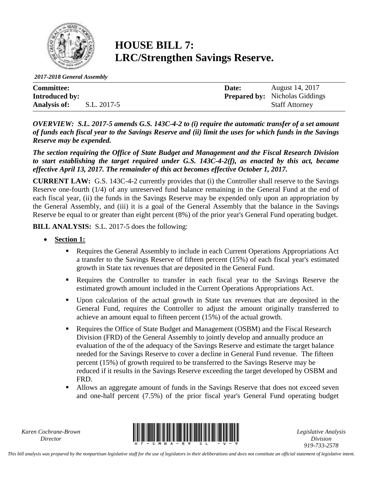

## **HOUSE BILL 7: LRC/Strengthen Savings Reserve.**

*2017-2018 General Assembly*

| <b>Committee:</b>     |             | Date: | August 14, 2017                       |
|-----------------------|-------------|-------|---------------------------------------|
| <b>Introduced by:</b> |             |       | <b>Prepared by:</b> Nicholas Giddings |
| <b>Analysis of:</b>   | S.L. 2017-5 |       | <b>Staff Attorney</b>                 |

*OVERVIEW: S.L. 2017-5 amends G.S. 143C-4-2 to (i) require the automatic transfer of a set amount of funds each fiscal year to the Savings Reserve and (ii) limit the uses for which funds in the Savings Reserve may be expended.* 

*The section requiring the Office of State Budget and Management and the Fiscal Research Division to start establishing the target required under G.S. 143C-4-2(f), as enacted by this act, became effective April 13, 2017. The remainder of this act becomes effective October 1, 2017.*

**CURRENT LAW:** G.S. 143C-4-2 currently provides that (i) the Controller shall reserve to the Savings Reserve one-fourth (1/4) of any unreserved fund balance remaining in the General Fund at the end of each fiscal year, (ii) the funds in the Savings Reserve may be expended only upon an appropriation by the General Assembly, and (iii) it is a goal of the General Assembly that the balance in the Savings Reserve be equal to or greater than eight percent (8%) of the prior year's General Fund operating budget.

**BILL ANALYSIS:** S.L. 2017-5 does the following:

- **Section 1:**
	- Requires the General Assembly to include in each Current Operations Appropriations Act a transfer to the Savings Reserve of fifteen percent (15%) of each fiscal year's estimated growth in State tax revenues that are deposited in the General Fund.
	- Requires the Controller to transfer in each fiscal year to the Savings Reserve the estimated growth amount included in the Current Operations Appropriations Act.
	- Upon calculation of the actual growth in State tax revenues that are deposited in the General Fund, requires the Controller to adjust the amount originally transferred to achieve an amount equal to fifteen percent (15%) of the actual growth.
	- Requires the Office of State Budget and Management (OSBM) and the Fiscal Research Division (FRD) of the General Assembly to jointly develop and annually produce an evaluation of the of the adequacy of the Savings Reserve and estimate the target balance needed for the Savings Reserve to cover a decline in General Fund revenue. The fifteen percent (15%) of growth required to be transferred to the Savings Reserve may be reduced if it results in the Savings Reserve exceeding the target developed by OSBM and FRD.
	- Allows an aggregate amount of funds in the Savings Reserve that does not exceed seven and one-half percent (7.5%) of the prior fiscal year's General Fund operating budget

*Karen Cochrane-Brown*



*Legislative Analysis Division 919-733-2578*

*This bill analysis was prepared by the nonpartisan legislative staff for the use of legislators in their deliberations and does not constitute an official statement of legislative intent.*